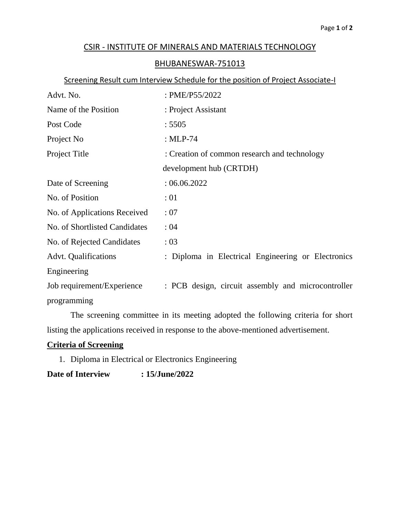## CSIR - INSTITUTE OF MINERALS AND MATERIALS TECHNOLOGY

## BHUBANESWAR-751013

## Screening Result cum Interview Schedule for the position of Project Associate-I

| Advt. No.                     | : PME/P55/2022                                     |  |
|-------------------------------|----------------------------------------------------|--|
| Name of the Position          | : Project Assistant                                |  |
| Post Code                     | : 5505                                             |  |
| Project No                    | : $MLP-74$                                         |  |
| Project Title                 | : Creation of common research and technology       |  |
|                               | development hub (CRTDH)                            |  |
| Date of Screening             | :06.06.2022                                        |  |
| No. of Position               | :01                                                |  |
| No. of Applications Received  | :07                                                |  |
| No. of Shortlisted Candidates | :04                                                |  |
| No. of Rejected Candidates    | : 03                                               |  |
| <b>Advt.</b> Qualifications   | : Diploma in Electrical Engineering or Electronics |  |
| Engineering                   |                                                    |  |
| Job requirement/Experience    | : PCB design, circuit assembly and microcontroller |  |
| programming                   |                                                    |  |

The screening committee in its meeting adopted the following criteria for short listing the applications received in response to the above-mentioned advertisement.

## **Criteria of Screening**

1. Diploma in Electrical or Electronics Engineering

**Date of Interview : 15/June/2022**